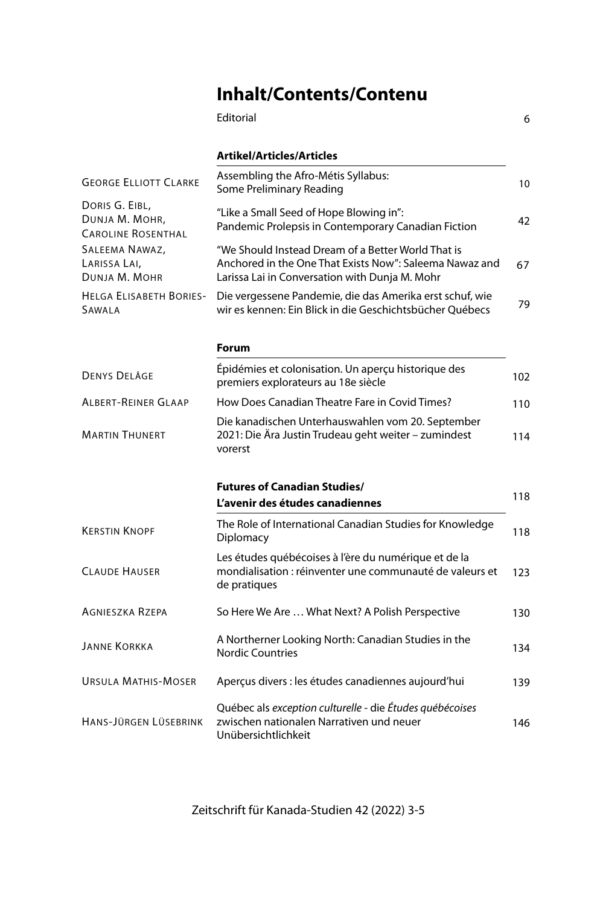## **Inhalt/Contents/Contenu**

|                                                               | Editorial                                                                                                                                                       | 6   |
|---------------------------------------------------------------|-----------------------------------------------------------------------------------------------------------------------------------------------------------------|-----|
|                                                               | Artikel/Articles/Articles                                                                                                                                       |     |
| <b>GEORGE ELLIOTT CLARKE</b>                                  | Assembling the Afro-Métis Syllabus:<br>Some Preliminary Reading                                                                                                 | 10  |
| DORIS G. EIBL,<br>DUNJA M. MOHR,<br><b>CAROLINE ROSENTHAL</b> | "Like a Small Seed of Hope Blowing in":<br>Pandemic Prolepsis in Contemporary Canadian Fiction                                                                  | 42  |
| SALEEMA NAWAZ,<br>LARISSA LAI,<br>DUNJA M. MOHR               | "We Should Instead Dream of a Better World That is<br>Anchored in the One That Exists Now": Saleema Nawaz and<br>Larissa Lai in Conversation with Dunja M. Mohr | 67  |
| <b>HELGA ELISABETH BORIES-</b><br>SAWALA                      | Die vergessene Pandemie, die das Amerika erst schuf, wie<br>wir es kennen: Ein Blick in die Geschichtsbücher Ouébecs                                            | 79  |
|                                                               | Forum                                                                                                                                                           |     |
| <b>DENYS DELÂGE</b>                                           | Épidémies et colonisation. Un aperçu historique des<br>premiers explorateurs au 18e siècle                                                                      | 102 |
| <b>ALBERT-REINER GLAAP</b>                                    | How Does Canadian Theatre Fare in Covid Times?                                                                                                                  | 110 |
| <b>MARTIN THUNERT</b>                                         | Die kanadischen Unterhauswahlen vom 20. September<br>2021: Die Ära Justin Trudeau geht weiter – zumindest<br>vorerst                                            | 114 |
|                                                               | <b>Futures of Canadian Studies/</b>                                                                                                                             |     |
|                                                               | L'avenir des études canadiennes                                                                                                                                 | 118 |
| <b>KERSTIN KNOPF</b>                                          | The Role of International Canadian Studies for Knowledge<br>Diplomacy                                                                                           | 118 |
| <b>CLAUDE HAUSER</b>                                          | Les études québécoises à l'ère du numérique et de la<br>mondialisation : réinventer une communauté de valeurs et<br>de pratiques                                | 123 |
| <b>AGNIESZKA RZEPA</b>                                        | So Here We Are  What Next? A Polish Perspective                                                                                                                 | 130 |
| <b>JANNE KORKKA</b>                                           | A Northerner Looking North: Canadian Studies in the<br><b>Nordic Countries</b>                                                                                  | 134 |
| <b>URSULA MATHIS-MOSER</b>                                    | Aperçus divers : les études canadiennes aujourd'hui                                                                                                             | 139 |
| HANS-JÜRGEN LÜSEBRINK                                         | Québec als exception culturelle - die Études québécoises<br>zwischen nationalen Narrativen und neuer<br>Unübersichtlichkeit                                     | 146 |

Zeitschrift für Kanada-Studien 42 (2022) 3-5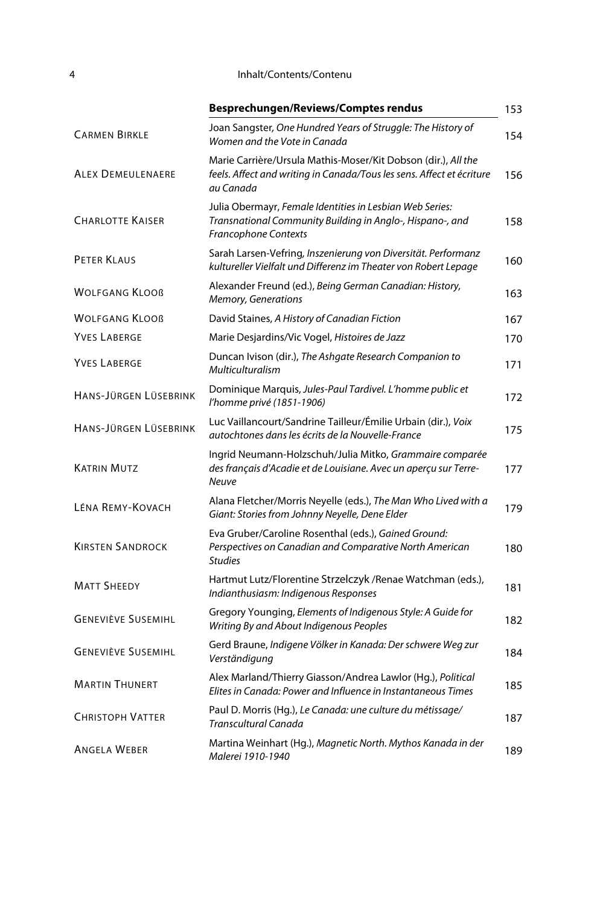## 4 Inhalt/Contents/Contenu

|                           | Besprechungen/Reviews/Comptes rendus                                                                                                                | 153 |
|---------------------------|-----------------------------------------------------------------------------------------------------------------------------------------------------|-----|
| <b>CARMEN BIRKLE</b>      | Joan Sangster, One Hundred Years of Struggle: The History of<br>Women and the Vote in Canada                                                        | 154 |
| <b>ALEX DEMEULENAERE</b>  | Marie Carrière/Ursula Mathis-Moser/Kit Dobson (dir.), All the<br>feels. Affect and writing in Canada/Tous les sens. Affect et écriture<br>au Canada | 156 |
| <b>CHARLOTTE KAISER</b>   | Julia Obermayr, Female Identities in Lesbian Web Series:<br>Transnational Community Building in Anglo-, Hispano-, and<br>Francophone Contexts       | 158 |
| <b>PETER KLAUS</b>        | Sarah Larsen-Vefring, Inszenierung von Diversität. Performanz<br>kultureller Vielfalt und Differenz im Theater von Robert Lepage                    | 160 |
| <b>WOLFGANG KLOOB</b>     | Alexander Freund (ed.), Being German Canadian: History,<br>Memory, Generations                                                                      | 163 |
| <b>WOLFGANG KLOOB</b>     | David Staines, A History of Canadian Fiction                                                                                                        | 167 |
| <b>YVES LABERGE</b>       | Marie Desjardins/Vic Vogel, Histoires de Jazz                                                                                                       | 170 |
| <b>YVES LABERGE</b>       | Duncan Ivison (dir.), The Ashgate Research Companion to<br><b>Multiculturalism</b>                                                                  | 171 |
| HANS-JÜRGEN LÜSEBRINK     | Dominique Marquis, Jules-Paul Tardivel. L'homme public et<br>l'homme privé (1851-1906)                                                              | 172 |
| HANS-JÜRGEN LÜSEBRINK     | Luc Vaillancourt/Sandrine Tailleur/Émilie Urbain (dir.), Voix<br>autochtones dans les écrits de la Nouvelle-France                                  | 175 |
| <b>KATRIN MUTZ</b>        | Ingrid Neumann-Holzschuh/Julia Mitko, Grammaire comparée<br>des français d'Acadie et de Louisiane. Avec un aperçu sur Terre-<br><b>Neuve</b>        | 177 |
| LÉNA REMY-KOVACH          | Alana Fletcher/Morris Neyelle (eds.), The Man Who Lived with a<br>Giant: Stories from Johnny Neyelle, Dene Elder                                    | 179 |
| <b>KIRSTEN SANDROCK</b>   | Eva Gruber/Caroline Rosenthal (eds.), Gained Ground:<br>Perspectives on Canadian and Comparative North American<br><b>Studies</b>                   | 180 |
| <b>MATT SHEEDY</b>        | Hartmut Lutz/Florentine Strzelczyk /Renae Watchman (eds.),<br>Indianthusiasm: Indigenous Responses                                                  | 181 |
| <b>GENEVIÈVE SUSEMIHL</b> | Gregory Younging, Elements of Indigenous Style: A Guide for<br>Writing By and About Indigenous Peoples                                              | 182 |
| <b>GENEVIÈVE SUSEMIHL</b> | Gerd Braune, Indigene Völker in Kanada: Der schwere Weg zur<br>Verständigung                                                                        | 184 |
| <b>MARTIN THUNERT</b>     | Alex Marland/Thierry Giasson/Andrea Lawlor (Hg.), Political<br>Elites in Canada: Power and Influence in Instantaneous Times                         | 185 |
| <b>CHRISTOPH VATTER</b>   | Paul D. Morris (Hg.), Le Canada: une culture du métissage/<br>Transcultural Canada                                                                  | 187 |
| <b>ANGELA WEBER</b>       | Martina Weinhart (Hg.), Magnetic North. Mythos Kanada in der<br>Malerei 1910-1940                                                                   | 189 |